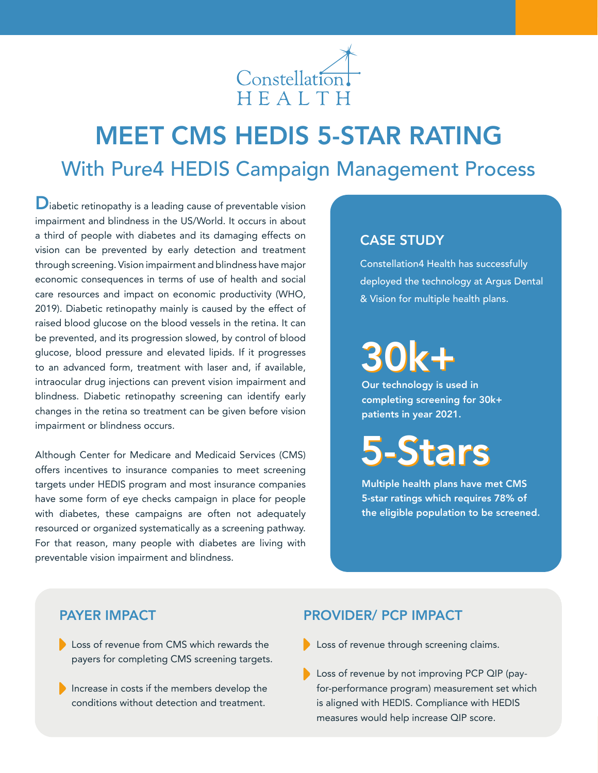

## MEET CMS HEDIS 5-STAR RATING With Pure4 HEDIS Campaign Management Process

 $\mathbf{D}_{\text{i}\text{a}\text{b}\text{e}\text{t}}$  is a leading cause of preventable vision impairment and blindness in the US/World. It occurs in about a third of people with diabetes and its damaging effects on vision can be prevented by early detection and treatment through screening. Vision impairment and blindness have major economic consequences in terms of use of health and social care resources and impact on economic productivity (WHO, 2019). Diabetic retinopathy mainly is caused by the effect of raised blood glucose on the blood vessels in the retina. It can be prevented, and its progression slowed, by control of blood glucose, blood pressure and elevated lipids. If it progresses to an advanced form, treatment with laser and, if available, intraocular drug injections can prevent vision impairment and blindness. Diabetic retinopathy screening can identify early changes in the retina so treatment can be given before vision impairment or blindness occurs.

Although Center for Medicare and Medicaid Services (CMS) offers incentives to insurance companies to meet screening targets under HEDIS program and most insurance companies have some form of eye checks campaign in place for people with diabetes, these campaigns are often not adequately resourced or organized systematically as a screening pathway. For that reason, many people with diabetes are living with preventable vision impairment and blindness.

## CASE STUDY

Constellation4 Health has successfully deployed the technology at Argus Dental & Vision for multiple health plans.

# 30k+

Our technology is used in completing screening for 30k+ patients in year 2021.

# 5-Stars

Multiple health plans have met CMS 5-star ratings which requires 78% of the eligible population to be screened.

## PAYER IMPACT

- Loss of revenue from CMS which rewards the payers for completing CMS screening targets.
- Increase in costs if the members develop the conditions without detection and treatment.

## PROVIDER/ PCP IMPACT

- Loss of revenue through screening claims.
- Loss of revenue by not improving PCP QIP (payfor-performance program) measurement set which is aligned with HEDIS. Compliance with HEDIS measures would help increase QIP score.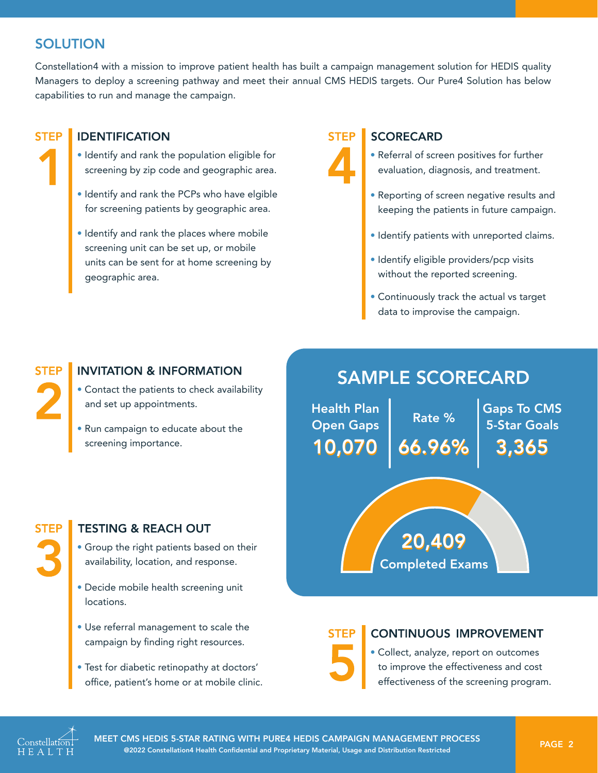## **SOLUTION**

Constellation4 with a mission to improve patient health has built a campaign management solution for HEDIS quality Managers to deploy a screening pathway and meet their annual CMS HEDIS targets. Our Pure4 Solution has below capabilities to run and manage the campaign.



### **IDENTIFICATION**

- Identify and rank the population eligible for screening by zip code and geographic area.
- Identify and rank the PCPs who have elgible for screening patients by geographic area.
- Identify and rank the places where mobile screening unit can be set up, or mobile units can be sent for at home screening by geographic area.

#### **STFP SCORECARD**

- Referral of screen positives for further evaluation, diagnosis, and treatment.
- Reporting of screen negative results and keeping the patients in future campaign.
- Identify patients with unreported claims.
- Identify eligible providers/pcp visits without the reported screening.
- Continuously track the actual vs target data to improvise the campaign.

# **STEP**

## **INVITATION & INFORMATION**

- Contact the patients to check availability and set up appointments.
- Run campaign to educate about the screening importance.

## SAMPLE SCORECARD

Rate % 66.96% Gaps To CMS 5-Star Goals 3,365 Health Plan Open Gaps 10,070

Completed Exams

20,409

## **TESTING & REACH OUT**

- Group the right patients based on their availability, location, and response.
- Decide mobile health screening unit locations.
- Use referral management to scale the campaign by finding right resources.
- Test for diabetic retinopathy at doctors' office, patient's home or at mobile clinic.

STEP

## **CONTINUOUS IMPROVEMENT**

• Collect, analyze, report on outcomes to improve the effectiveness and cost effectiveness of the screening program.



MEET CMS HEDIS 5-STAR RATING WITH PURE4 HEDIS CAMPAIGN MANAGEMENT PROCESS PAGE 2 @2022 Constellation4 Health Confidential and Proprietary Material, Usage and Distribution Restricted